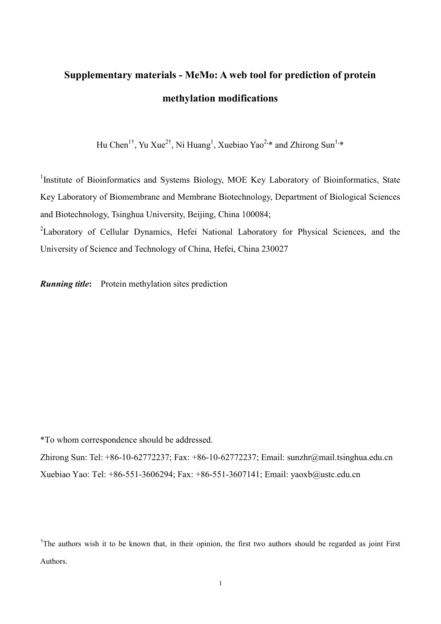# **Supplementary materials - MeMo: A web tool for prediction of protein methylation modifications**

Hu Chen<sup>1†</sup>, Yu Xue<sup>2†</sup>, Ni Huang<sup>1</sup>, Xuebiao Yao<sup>2,\*</sup> and Zhirong Sun<sup>1,\*</sup>

<sup>1</sup>Institute of Bioinformatics and Systems Biology, MOE Key Laboratory of Bioinformatics, State Key Laboratory of Biomembrane and Membrane Biotechnology, Department of Biological Sciences and Biotechnology, Tsinghua University, Beijing, China 100084;

<sup>2</sup>Laboratory of Cellular Dynamics, Hefei National Laboratory for Physical Sciences, and the University of Science and Technology of China, Hefei, China 230027

*Running title***:** Protein methylation sites prediction

\*To whom correspondence should be addressed.

Zhirong Sun: Tel: +86-10-62772237; Fax: +86-10-62772237; Email: sunzhr@mail.tsinghua.edu.cn Xuebiao Yao: Tel: +86-551-3606294; Fax: +86-551-3607141; Email: yaoxb@ustc.edu.cn

<sup>&</sup>lt;sup>†</sup>The authors wish it to be known that, in their opinion, the first two authors should be regarded as joint First Authors.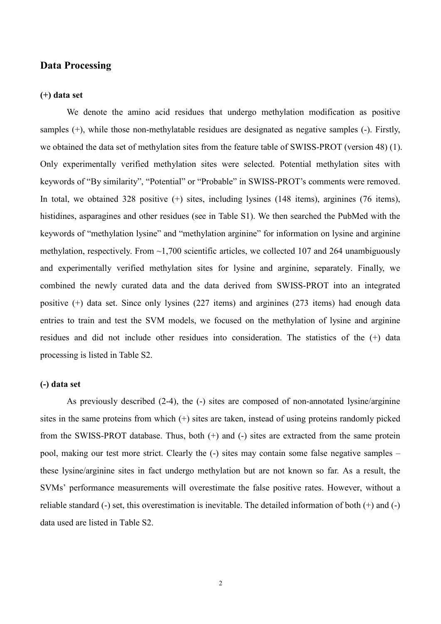## **Data Processing**

## **(+) data set**

We denote the amino acid residues that undergo methylation modification as positive samples (+), while those non-methylatable residues are designated as negative samples (-). Firstly, we obtained the data set of methylation sites from the feature table of SWISS-PROT (version 48) (1). Only experimentally verified methylation sites were selected. Potential methylation sites with keywords of "By similarity", "Potential" or "Probable" in SWISS-PROT's comments were removed. In total, we obtained 328 positive  $(+)$  sites, including lysines (148 items), arginines (76 items), histidines, asparagines and other residues (see in Table S1). We then searched the PubMed with the keywords of "methylation lysine" and "methylation arginine" for information on lysine and arginine methylation, respectively. From  $\sim$ 1,700 scientific articles, we collected 107 and 264 unambiguously and experimentally verified methylation sites for lysine and arginine, separately. Finally, we combined the newly curated data and the data derived from SWISS-PROT into an integrated positive (+) data set. Since only lysines (227 items) and arginines (273 items) had enough data entries to train and test the SVM models, we focused on the methylation of lysine and arginine residues and did not include other residues into consideration. The statistics of the (+) data processing is listed in Table S2.

#### **(-) data set**

As previously described (2-4), the (-) sites are composed of non-annotated lysine/arginine sites in the same proteins from which (+) sites are taken, instead of using proteins randomly picked from the SWISS-PROT database. Thus, both  $(+)$  and  $(-)$  sites are extracted from the same protein pool, making our test more strict. Clearly the (-) sites may contain some false negative samples – these lysine/arginine sites in fact undergo methylation but are not known so far. As a result, the SVMs' performance measurements will overestimate the false positive rates. However, without a reliable standard (-) set, this overestimation is inevitable. The detailed information of both (+) and (-) data used are listed in Table S2.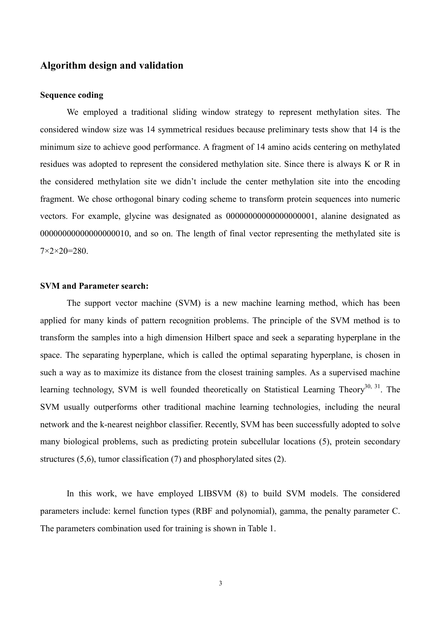# **Algorithm design and validation**

## **Sequence coding**

We employed a traditional sliding window strategy to represent methylation sites. The considered window size was 14 symmetrical residues because preliminary tests show that 14 is the minimum size to achieve good performance. A fragment of 14 amino acids centering on methylated residues was adopted to represent the considered methylation site. Since there is always K or R in the considered methylation site we didn't include the center methylation site into the encoding fragment. We chose orthogonal binary coding scheme to transform protein sequences into numeric vectors. For example, glycine was designated as 00000000000000000001, alanine designated as 00000000000000000010, and so on. The length of final vector representing the methylated site is  $7 \times 2 \times 20 = 280$ .

#### **SVM and Parameter search:**

The support vector machine (SVM) is a new machine learning method, which has been applied for many kinds of pattern recognition problems. The principle of the SVM method is to transform the samples into a high dimension Hilbert space and seek a separating hyperplane in the space. The separating hyperplane, which is called the optimal separating hyperplane, is chosen in such a way as to maximize its distance from the closest training samples. As a supervised machine learning technology, SVM is well founded theoretically on Statistical Learning Theory<sup>30, 31</sup>. The SVM usually outperforms other traditional machine learning technologies, including the neural network and the k-nearest neighbor classifier. Recently, SVM has been successfully adopted to solve many biological problems, such as predicting protein subcellular locations (5), protein secondary structures (5,6), tumor classification (7) and phosphorylated sites (2).

In this work, we have employed LIBSVM (8) to build SVM models. The considered parameters include: kernel function types (RBF and polynomial), gamma, the penalty parameter C. The parameters combination used for training is shown in Table 1.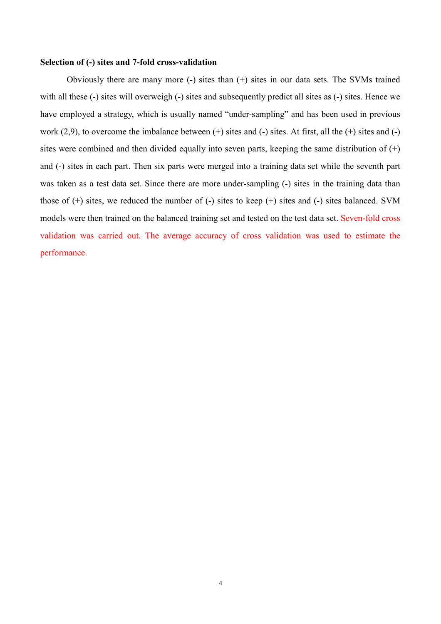#### **Selection of (-) sites and 7-fold cross-validation**

Obviously there are many more (-) sites than (+) sites in our data sets. The SVMs trained with all these (-) sites will overweigh (-) sites and subsequently predict all sites as (-) sites. Hence we have employed a strategy, which is usually named "under-sampling" and has been used in previous work  $(2,9)$ , to overcome the imbalance between  $(+)$  sites and  $(-)$  sites. At first, all the  $(+)$  sites and  $(-)$ sites were combined and then divided equally into seven parts, keeping the same distribution of  $(+)$ and (-) sites in each part. Then six parts were merged into a training data set while the seventh part was taken as a test data set. Since there are more under-sampling (-) sites in the training data than those of  $(+)$  sites, we reduced the number of  $(-)$  sites to keep  $(+)$  sites and  $(-)$  sites balanced. SVM models were then trained on the balanced training set and tested on the test data set. Seven-fold cross validation was carried out. The average accuracy of cross validation was used to estimate the performance.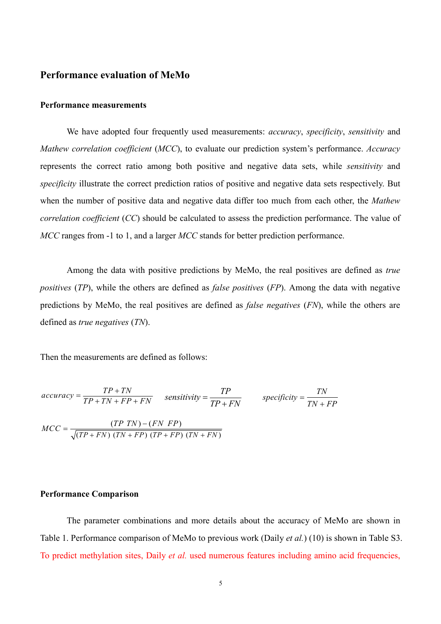# **Performance evaluation of MeMo**

## **Performance measurements**

We have adopted four frequently used measurements: *accuracy*, *specificity*, *sensitivity* and *Mathew correlation coefficient* (*MCC*), to evaluate our prediction system's performance. *Accuracy* represents the correct ratio among both positive and negative data sets, while *sensitivity* and *specificity* illustrate the correct prediction ratios of positive and negative data sets respectively. But when the number of positive data and negative data differ too much from each other, the *Mathew correlation coefficient* (*CC*) should be calculated to assess the prediction performance. The value of *MCC* ranges from -1 to 1, and a larger *MCC* stands for better prediction performance.

Among the data with positive predictions by MeMo, the real positives are defined as *true positives* (*TP*), while the others are defined as *false positives* (*FP*). Among the data with negative predictions by MeMo, the real positives are defined as *false negatives* (*FN*), while the others are defined as *true negatives* (*TN*).

Then the measurements are defined as follows:

$$
accuracy = \frac{TP + TN}{TP + TN + FP + FN}
$$
 
$$
sensitivity = \frac{TP}{TP + FN}
$$
 
$$
specificity = \frac{TN}{TN + FP}
$$

$$
MCC = \frac{(TP \, TN) - (FN \, FP)}{\sqrt{(TP + FN) (TN + FP) (TP + FP) (TN + FN)}}
$$

#### **Performance Comparison**

The parameter combinations and more details about the accuracy of MeMo are shown in Table 1. Performance comparison of MeMo to previous work (Daily *et al.*) (10) is shown in Table S3. To predict methylation sites, Daily *et al.* used numerous features including amino acid frequencies,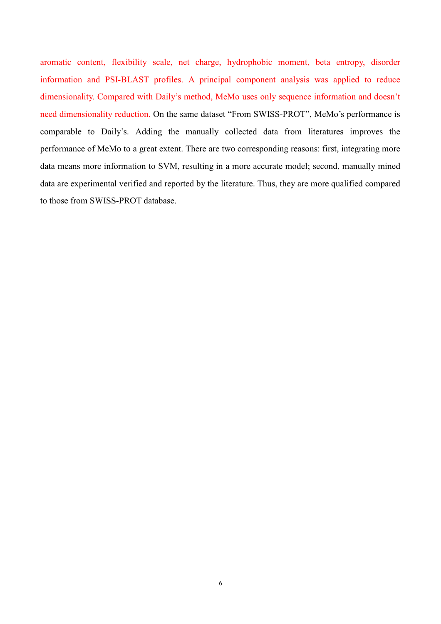aromatic content, flexibility scale, net charge, hydrophobic moment, beta entropy, disorder information and PSI-BLAST profiles. A principal component analysis was applied to reduce dimensionality. Compared with Daily's method, MeMo uses only sequence information and doesn't need dimensionality reduction. On the same dataset "From SWISS-PROT", MeMo's performance is comparable to Daily's. Adding the manually collected data from literatures improves the performance of MeMo to a great extent. There are two corresponding reasons: first, integrating more data means more information to SVM, resulting in a more accurate model; second, manually mined data are experimental verified and reported by the literature. Thus, they are more qualified compared to those from SWISS-PROT database.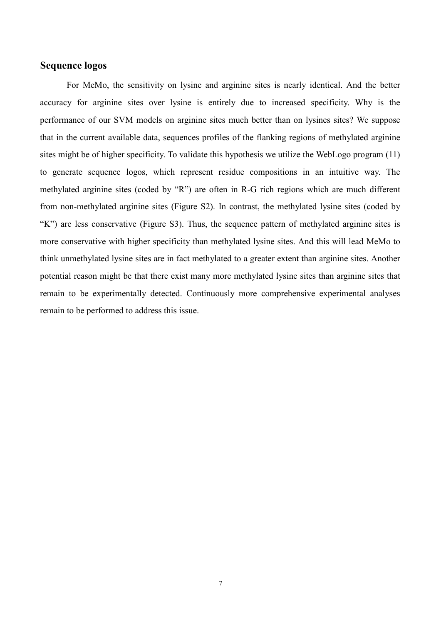# **Sequence logos**

For MeMo, the sensitivity on lysine and arginine sites is nearly identical. And the better accuracy for arginine sites over lysine is entirely due to increased specificity. Why is the performance of our SVM models on arginine sites much better than on lysines sites? We suppose that in the current available data, sequences profiles of the flanking regions of methylated arginine sites might be of higher specificity. To validate this hypothesis we utilize the WebLogo program (11) to generate sequence logos, which represent residue compositions in an intuitive way. The methylated arginine sites (coded by "R") are often in R-G rich regions which are much different from non-methylated arginine sites (Figure S2). In contrast, the methylated lysine sites (coded by "K") are less conservative (Figure S3). Thus, the sequence pattern of methylated arginine sites is more conservative with higher specificity than methylated lysine sites. And this will lead MeMo to think unmethylated lysine sites are in fact methylated to a greater extent than arginine sites. Another potential reason might be that there exist many more methylated lysine sites than arginine sites that remain to be experimentally detected. Continuously more comprehensive experimental analyses remain to be performed to address this issue.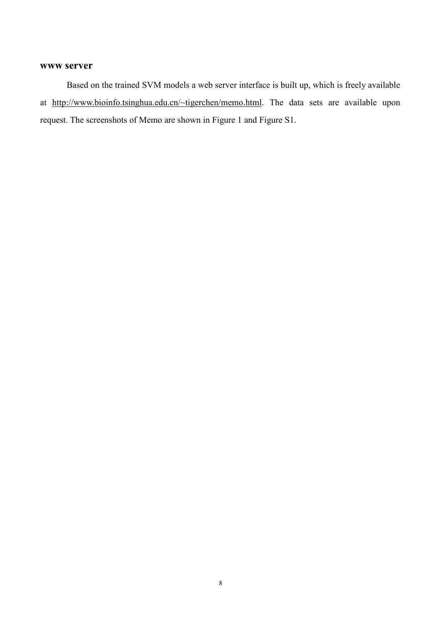#### **www server**

Based on the trained SVM models a web server interface is built up, which is freely available at <http://www.bioinfo.tsinghua.edu.cn/~tigerchen/memo.html>. The data sets are available upon request. The screenshots of Memo are shown in Figure 1 and Figure S1.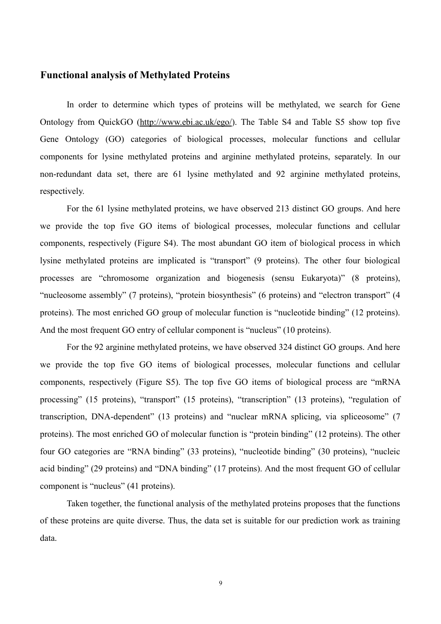# **Functional analysis of Methylated Proteins**

In order to determine which types of proteins will be methylated, we search for Gene Ontology from QuickGO [\(http://www.ebi.ac.uk/ego/](http://www.ebi.ac.uk/ego/)). The Table S4 and Table S5 show top five Gene Ontology (GO) categories of biological processes, molecular functions and cellular components for lysine methylated proteins and arginine methylated proteins, separately. In our non-redundant data set, there are 61 lysine methylated and 92 arginine methylated proteins, respectively.

For the 61 lysine methylated proteins, we have observed 213 distinct GO groups. And here we provide the top five GO items of biological processes, molecular functions and cellular components, respectively (Figure S4). The most abundant GO item of biological process in which lysine methylated proteins are implicated is "transport" (9 proteins). The other four biological processes are "chromosome organization and biogenesis (sensu Eukaryota)" (8 proteins), "nucleosome assembly" (7 proteins), "protein biosynthesis" (6 proteins) and "electron transport" (4 proteins). The most enriched GO group of molecular function is "nucleotide binding" (12 proteins). And the most frequent GO entry of cellular component is "nucleus" (10 proteins).

For the 92 arginine methylated proteins, we have observed 324 distinct GO groups. And here we provide the top five GO items of biological processes, molecular functions and cellular components, respectively (Figure S5). The top five GO items of biological process are "mRNA processing" (15 proteins), "transport" (15 proteins), "transcription" (13 proteins), "regulation of transcription, DNA-dependent" (13 proteins) and "nuclear mRNA splicing, via spliceosome" (7 proteins). The most enriched GO of molecular function is "protein binding" (12 proteins). The other four GO categories are "RNA binding" (33 proteins), "nucleotide binding" (30 proteins), "nucleic acid binding" (29 proteins) and "DNA binding" (17 proteins). And the most frequent GO of cellular component is "nucleus" (41 proteins).

Taken together, the functional analysis of the methylated proteins proposes that the functions of these proteins are quite diverse. Thus, the data set is suitable for our prediction work as training data.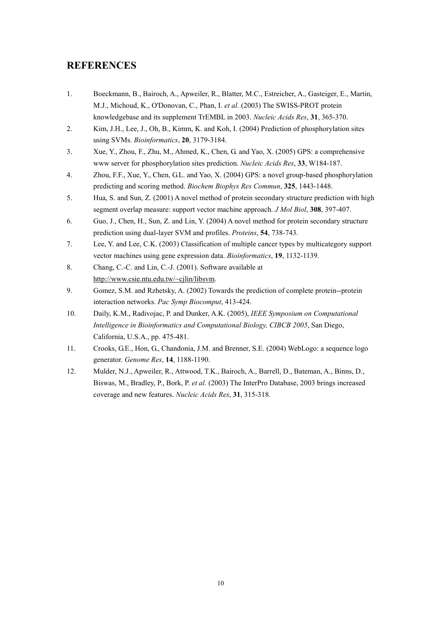# **REFERENCES**

- 1. Boeckmann, B., Bairoch, A., Apweiler, R., Blatter, M.C., Estreicher, A., Gasteiger, E., Martin, M.J., Michoud, K., O'Donovan, C., Phan, I. *et al.* (2003) The SWISS-PROT protein knowledgebase and its supplement TrEMBL in 2003. *Nucleic Acids Res*, **31**, 365-370.
- 2. Kim, J.H., Lee, J., Oh, B., Kimm, K. and Koh, I. (2004) Prediction of phosphorylation sites using SVMs. *Bioinformatics*, **20**, 3179-3184.
- 3. Xue, Y., Zhou, F., Zhu, M., Ahmed, K., Chen, G. and Yao, X. (2005) GPS: a comprehensive www server for phosphorylation sites prediction. *Nucleic Acids Res*, **33**, W184-187.
- 4. Zhou, F.F., Xue, Y., Chen, G.L. and Yao, X. (2004) GPS: a novel group-based phosphorylation predicting and scoring method. *Biochem Biophys Res Commun*, **325**, 1443-1448.
- 5. Hua, S. and Sun, Z. (2001) A novel method of protein secondary structure prediction with high segment overlap measure: support vector machine approach. *J Mol Biol*, **308**, 397-407.
- 6. Guo, J., Chen, H., Sun, Z. and Lin, Y. (2004) A novel method for protein secondary structure prediction using dual-layer SVM and profiles. *Proteins*, **54**, 738-743.
- 7. Lee, Y. and Lee, C.K. (2003) Classification of multiple cancer types by multicategory support vector machines using gene expression data. *Bioinformatics*, **19**, 1132-1139.
- 8. Chang, C.-C. and Lin, C.-J. (2001). Software available at <http://www.csie.ntu.edu.tw/~cjlin/libsvm>.
- 9. Gomez, S.M. and Rzhetsky, A. (2002) Towards the prediction of complete protein--protein interaction networks. *Pac Symp Biocomput*, 413-424.
- 10. Daily, K.M., Radivojac, P. and Dunker, A.K. (2005), *IEEE Symposium on Computational Intelligence in Bioinformatics and Computational Biology, CIBCB 2005*, San Diego, California, U.S.A., pp. 475-481.
- 11. Crooks, G.E., Hon, G., Chandonia, J.M. and Brenner, S.E. (2004) WebLogo: a sequence logo generator. *Genome Res*, **14**, 1188-1190.
- 12. Mulder, N.J., Apweiler, R., Attwood, T.K., Bairoch, A., Barrell, D., Bateman, A., Binns, D., Biswas, M., Bradley, P., Bork, P. *et al.* (2003) The InterPro Database, 2003 brings increased coverage and new features. *Nucleic Acids Res*, **31**, 315-318.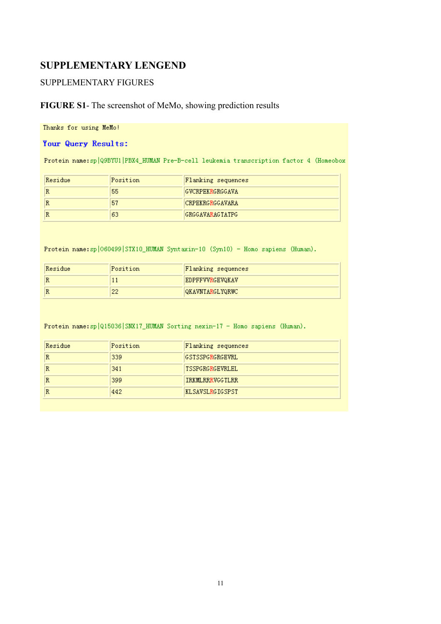# **SUPPLEMENTARY LENGEND**

## SUPPLEMENTARY FIGURES

# **FIGURE S1**- The screenshot of MeMo, showing prediction results

Thanks for using MeMo!

#### Your Query Results:

Protein name:sp|Q9BYU1|PBX4\_HUMAN Pre-B-cell leukemia transcription factor 4 (Homeobox

| Residue | Position | Flanking sequences |
|---------|----------|--------------------|
| R       | 55       | GVCRPEKRGRGGAVA    |
| R       | 57       | CRPEKRGRGGAVARA    |
| R       | 63       | GRGGAVARAGTATPG    |

Protein name: sp | 060499 | STX10\_HUMAN Syntaxin-10 (Syn10) - Homo sapiens (Human).

| Residue | Position | Flanking sequences     |
|---------|----------|------------------------|
| R       |          | <b>EDPFFVVRGEVQKAV</b> |
| R       | ດດ       | <b>QKAVNTARGLYQRWC</b> |

Protein name: sp | Q15036 | SNX17\_HUMAN Sorting nexin-17 - Homo sapiens (Human).

| Residue | Position | Flanking sequences |
|---------|----------|--------------------|
| R       | 339      | IGSTSSPGRGRGEVRL   |
| R       | 341      | ISSPGRGRGEVRLEL    |
| R       | 399      | IRKMLRRRVGGTLRR    |
| R       | 442      | KLSAVSLRGIGSPST    |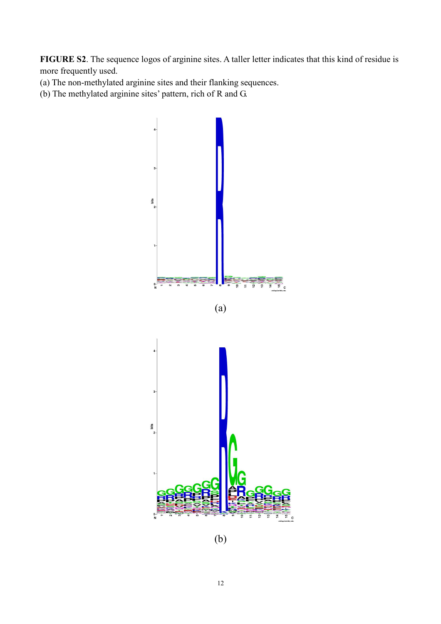**FIGURE S2**. The sequence logos of arginine sites. A taller letter indicates that this kind of residue is more frequently used.

- (a) The non-methylated arginine sites and their flanking sequences.
- (b) The methylated arginine sites' pattern, rich of R and G.







(b)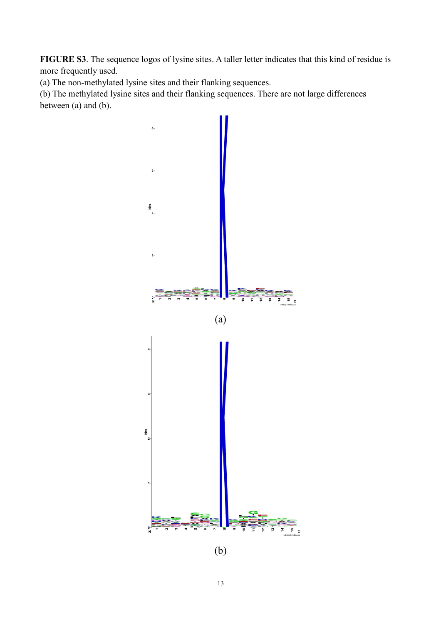**FIGURE S3**. The sequence logos of lysine sites. A taller letter indicates that this kind of residue is more frequently used.

(a) The non-methylated lysine sites and their flanking sequences.

(b) The methylated lysine sites and their flanking sequences. There are not large differences between (a) and (b).



(b)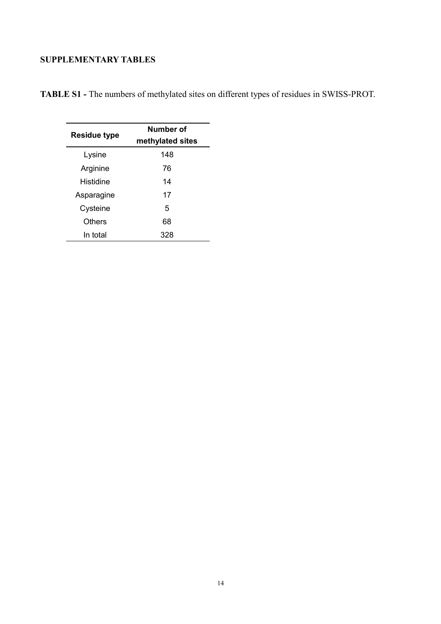# **SUPPLEMENTARY TABLES**

| <b>Residue type</b> | Number of<br>methylated sites |  |
|---------------------|-------------------------------|--|
| Lysine              | 148                           |  |
| Arginine            | 76                            |  |
| Histidine           | 14                            |  |
| Asparagine          | 17                            |  |
| Cysteine            | 5                             |  |
| Others              | 68                            |  |
| In total            | 328                           |  |

**TABLE S1 -** The numbers of methylated sites on different types of residues in SWISS-PROT.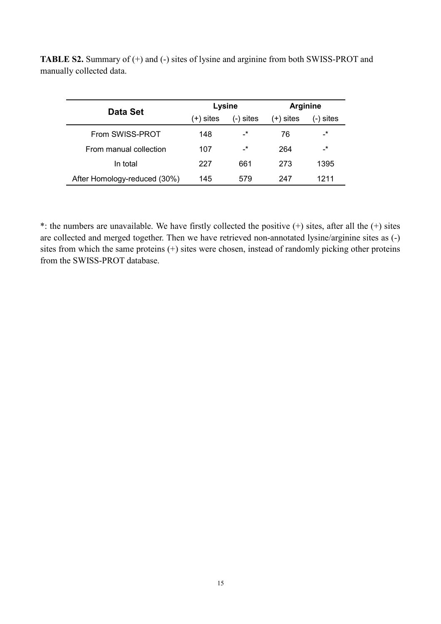| Data Set                     |           | Lysine                     | <b>Arginine</b> |                 |
|------------------------------|-----------|----------------------------|-----------------|-----------------|
|                              | (+) sites | (-) sites                  | (+) sites       | (-) sites       |
| From SWISS-PROT              | 148       | $-*$                       | 76              | -*              |
| From manual collection       | 107       | $\overline{\phantom{a}}^*$ | 264             | $\cdot^{\star}$ |
| In total                     | 227       | 661                        | 273             | 1395            |
| After Homology-reduced (30%) | 145       | 579                        | 247             | 1211            |

**TABLE S2.** Summary of (+) and (-) sites of lysine and arginine from both SWISS-PROT and manually collected data.

\*: the numbers are unavailable. We have firstly collected the positive  $(+)$  sites, after all the  $(+)$  sites are collected and merged together. Then we have retrieved non-annotated lysine/arginine sites as (-) sites from which the same proteins (+) sites were chosen, instead of randomly picking other proteins from the SWISS-PROT database.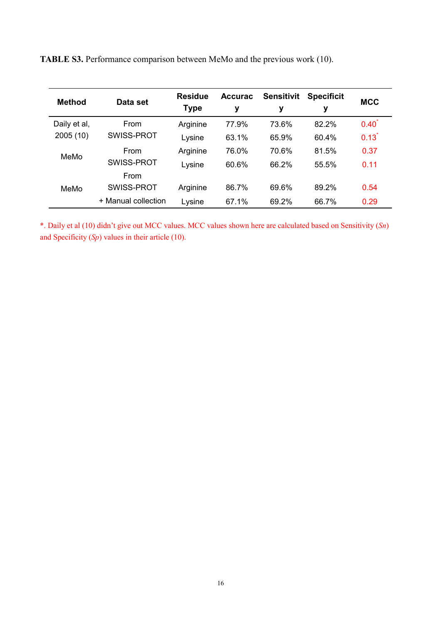| <b>Method</b> | Data set            | <b>Residue</b><br><b>Type</b> | <b>Accurac</b><br>у | <b>Sensitivit</b><br>у | <b>Specificit</b><br>у | <b>MCC</b>          |
|---------------|---------------------|-------------------------------|---------------------|------------------------|------------------------|---------------------|
| Daily et al,  | From                | Arginine                      | 77.9%               | 73.6%                  | 82.2%                  | $0.40^{\degree}$    |
| 2005 (10)     | SWISS-PROT          | Lysine                        | 63.1%               | 65.9%                  | 60.4%                  | $0.13$ <sup>*</sup> |
| MeMo          | From                | Arginine                      | 76.0%               | 70.6%                  | 81.5%                  | 0.37                |
|               | SWISS-PROT          | Lysine                        | 60.6%               | 66.2%                  | 55.5%                  | 0.11                |
|               | From                |                               |                     |                        |                        |                     |
| MeMo          | SWISS-PROT          | Arginine                      | 86.7%               | 69.6%                  | 89.2%                  | 0.54                |
|               | + Manual collection | Lysine                        | 67.1%               | 69.2%                  | 66.7%                  | 0.29                |

**TABLE S3.** Performance comparison between MeMo and the previous work (10).

\*. Daily et al (10) didn't give out MCC values. MCC values shown here are calculated based on Sensitivity (*Sn*) and Specificity (*Sp*) values in their article (10).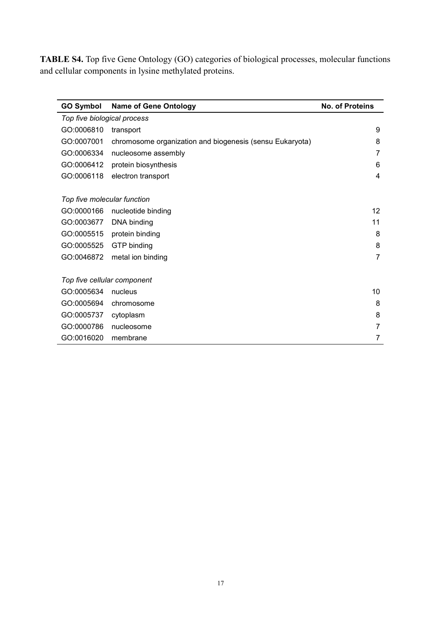**TABLE S4.** Top five Gene Ontology (GO) categories of biological processes, molecular functions and cellular components in lysine methylated proteins.

| <b>GO Symbol</b>            | <b>Name of Gene Ontology</b>                             | <b>No. of Proteins</b> |  |  |
|-----------------------------|----------------------------------------------------------|------------------------|--|--|
| Top five biological process |                                                          |                        |  |  |
| GO:0006810                  | transport                                                | 9                      |  |  |
| GO:0007001                  | chromosome organization and biogenesis (sensu Eukaryota) | 8                      |  |  |
| GO:0006334                  | nucleosome assembly                                      | 7                      |  |  |
| GO:0006412                  | protein biosynthesis                                     | 6                      |  |  |
| GO:0006118                  | electron transport                                       | 4                      |  |  |
|                             |                                                          |                        |  |  |
| Top five molecular function |                                                          |                        |  |  |
| GO:0000166                  | nucleotide binding                                       | 12                     |  |  |
| GO:0003677                  | DNA binding                                              | 11                     |  |  |
| GO:0005515                  | protein binding                                          | 8                      |  |  |
| GO:0005525                  | GTP binding                                              | 8                      |  |  |
| GO:0046872                  | metal ion binding                                        | 7                      |  |  |
|                             |                                                          |                        |  |  |
| Top five cellular component |                                                          |                        |  |  |
| GO:0005634                  | nucleus                                                  | 10                     |  |  |
| GO:0005694                  | chromosome                                               | 8                      |  |  |
| GO:0005737                  | cytoplasm                                                | 8                      |  |  |
| GO:0000786                  | nucleosome                                               | 7                      |  |  |
| GO:0016020                  | membrane                                                 | 7                      |  |  |